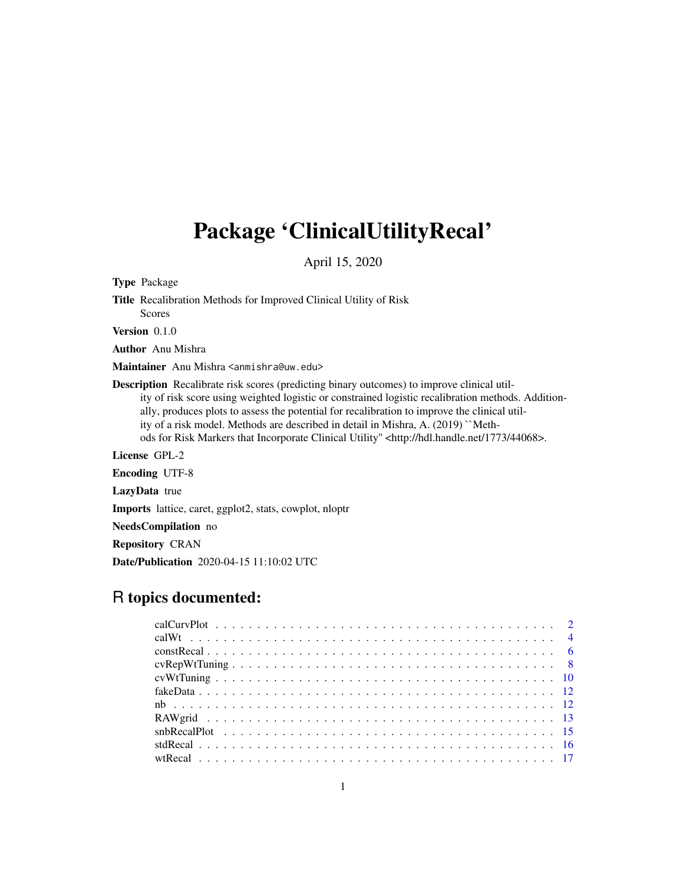# Package 'ClinicalUtilityRecal'

April 15, 2020

Type Package

Title Recalibration Methods for Improved Clinical Utility of Risk Scores

Version 0.1.0

Author Anu Mishra

Maintainer Anu Mishra <anmishra@uw.edu>

Description Recalibrate risk scores (predicting binary outcomes) to improve clinical utility of risk score using weighted logistic or constrained logistic recalibration methods. Additionally, produces plots to assess the potential for recalibration to improve the clinical utility of a risk model. Methods are described in detail in Mishra, A. (2019) ``Methods for Risk Markers that Incorporate Clinical Utility" <http://hdl.handle.net/1773/44068>.

License GPL-2

Encoding UTF-8

LazyData true

Imports lattice, caret, ggplot2, stats, cowplot, nloptr

NeedsCompilation no

Repository CRAN

Date/Publication 2020-04-15 11:10:02 UTC

# R topics documented: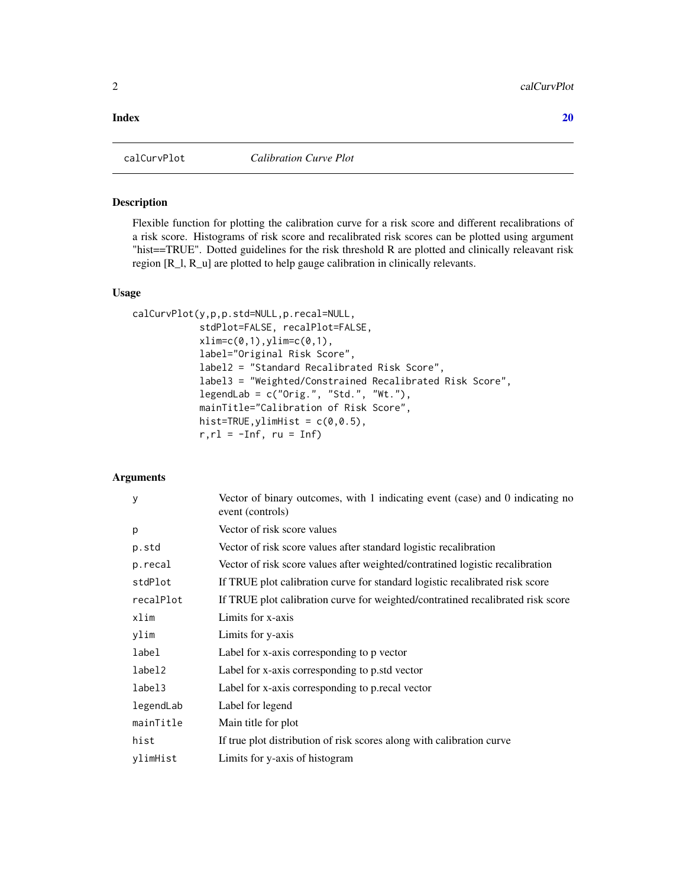# <span id="page-1-0"></span> $\bf 1$ ndex  $\bf 20$  $\bf 20$

# Description

Flexible function for plotting the calibration curve for a risk score and different recalibrations of a risk score. Histograms of risk score and recalibrated risk scores can be plotted using argument "hist==TRUE". Dotted guidelines for the risk threshold R are plotted and clinically releavant risk region [R\_l, R\_u] are plotted to help gauge calibration in clinically relevants.

# Usage

```
calCurvPlot(y,p,p.std=NULL,p.recal=NULL,
            stdPlot=FALSE, recalPlot=FALSE,
            xlim=c(0,1),ylim=c(0,1),label="Original Risk Score",
            label2 = "Standard Recalibrated Risk Score",
            label3 = "Weighted/Constrained Recalibrated Risk Score",
            legendLab = c("Orig.", "Std.", "Wt."),
            mainTitle="Calibration of Risk Score",
            hist=TRUE, ylimHist = c(0, 0.5),
            r, r1 = -Inf, ru = Inf)
```
# Arguments

| y         | Vector of binary outcomes, with 1 indicating event (case) and 0 indicating no<br>event (controls) |
|-----------|---------------------------------------------------------------------------------------------------|
| p         | Vector of risk score values                                                                       |
| p.std     | Vector of risk score values after standard logistic recalibration                                 |
| p.recal   | Vector of risk score values after weighted/contratined logistic recalibration                     |
| stdPlot   | If TRUE plot calibration curve for standard logistic recalibrated risk score                      |
| recalPlot | If TRUE plot calibration curve for weighted/contratined recalibrated risk score                   |
| xlim      | Limits for x-axis                                                                                 |
| ylim      | Limits for y-axis                                                                                 |
| label     | Label for x-axis corresponding to p vector                                                        |
| label2    | Label for x-axis corresponding to p.std vector                                                    |
| label3    | Label for x-axis corresponding to p.recal vector                                                  |
| legendLab | Label for legend                                                                                  |
| mainTitle | Main title for plot                                                                               |
| hist      | If true plot distribution of risk scores along with calibration curve                             |
| ylimHist  | Limits for y-axis of histogram                                                                    |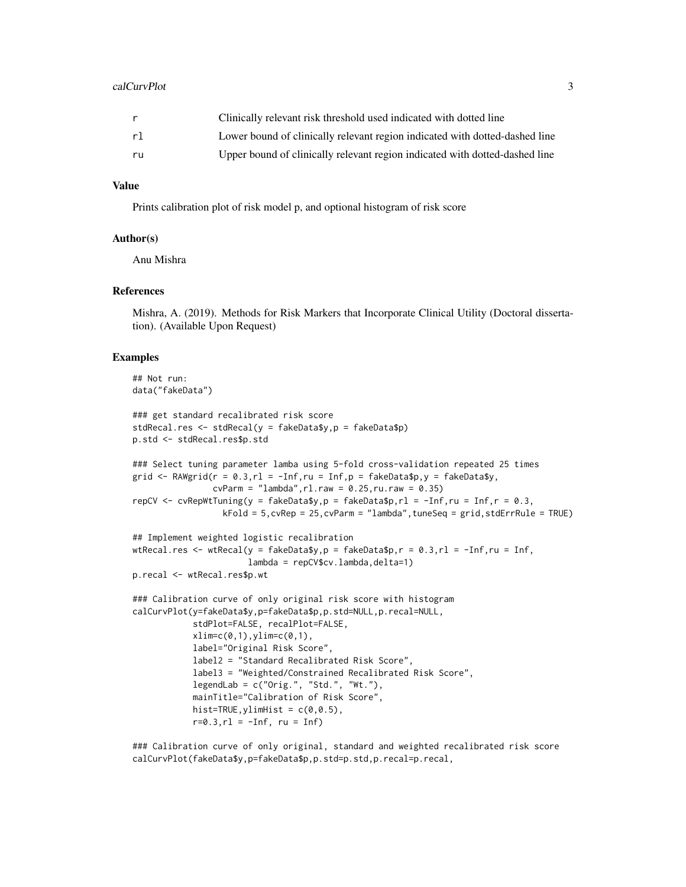#### calCurvPlot 3

|    | Clinically relevant risk threshold used indicated with dotted line          |
|----|-----------------------------------------------------------------------------|
| r1 | Lower bound of clinically relevant region indicated with dotted-dashed line |
| ru | Upper bound of clinically relevant region indicated with dotted-dashed line |

# Value

Prints calibration plot of risk model p, and optional histogram of risk score

# Author(s)

Anu Mishra

# References

Mishra, A. (2019). Methods for Risk Markers that Incorporate Clinical Utility (Doctoral dissertation). (Available Upon Request)

# Examples

```
## Not run:
data("fakeData")
### get standard recalibrated risk score
stdRecal.res <- stdRecal(y = fakeData$y,p = fakeData$p)
p.std <- stdRecal.res$p.std
### Select tuning parameter lamba using 5-fold cross-validation repeated 25 times
grid \leq RAWgrid(r = 0.3, rl = -Inf, ru = Inf, p = fakeData$p, y = fakeData$y,
                cvParm = "lambda", r1.raw = 0.25, ru.raw = 0.35)repCV <- cvRepWtTuning(y = fakeData$y, p = fakeData$p, rl = -Inf, ru = Inf, r = 0.3,
                  kFold = 5,cvRep = 25,cvParm = "lambda",tuneSeq = grid,stdErrRule = TRUE)
## Implement weighted logistic recalibration
wtRecal.res <- wtRecal(y = fakeData$y,p = fakeData$p,r = 0.3, r1 = -Inf,ru = Inf,
                       lambda = repCV$cv.lambda,delta=1)
p.recal <- wtRecal.res$p.wt
### Calibration curve of only original risk score with histogram
calCurvPlot(y=fakeData$y,p=fakeData$p,p.std=NULL,p.recal=NULL,
            stdPlot=FALSE, recalPlot=FALSE,
            xlim=c(0,1), ylim=c(0,1),label="Original Risk Score",
            label2 = "Standard Recalibrated Risk Score",
            label3 = "Weighted/Constrained Recalibrated Risk Score",
            legendLab = c("Orig.", "Std.", "Wt."),
            mainTitle="Calibration of Risk Score",
            hist=TRUE, ylimHist = c(\theta, \theta.5),
            r=0.3, r1 = -Inf, ru = Inf)
```
### Calibration curve of only original, standard and weighted recalibrated risk score calCurvPlot(fakeData\$y,p=fakeData\$p,p.std=p.std,p.recal=p.recal,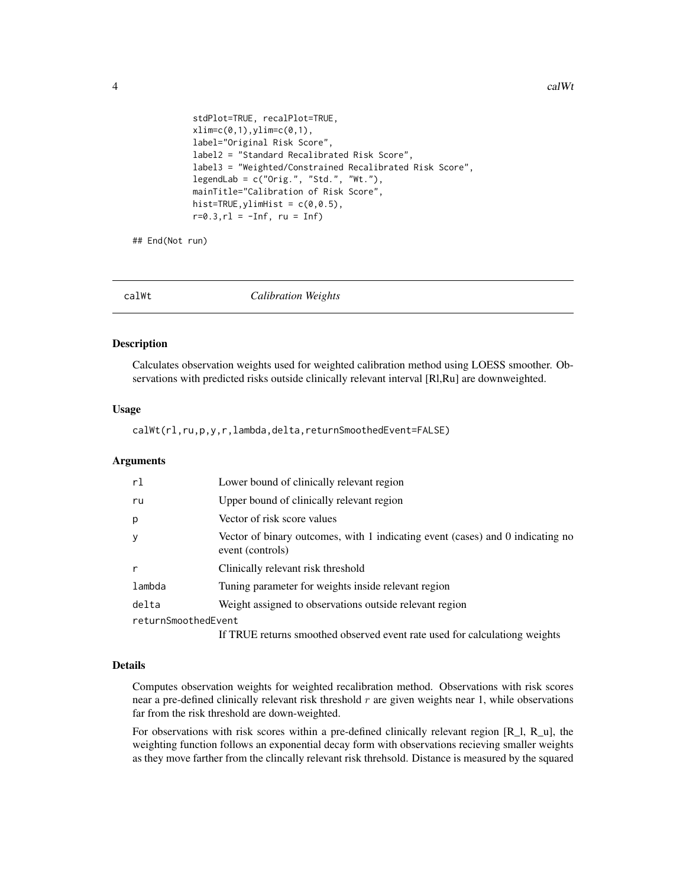```
stdPlot=TRUE, recalPlot=TRUE,
xlim=c(0,1),ylim=c(0,1),label="Original Risk Score",
label2 = "Standard Recalibrated Risk Score",
label3 = "Weighted/Constrained Recalibrated Risk Score",
legendLab = c("Orig.", "Std.", "Wt."),
mainTitle="Calibration of Risk Score",
hist=True, ylimHist = c(0, 0.5),
r=0.3, r1 = -Inf, ru = Inf)
```
## End(Not run)

<span id="page-3-1"></span>calWt *Calibration Weights*

# **Description**

Calculates observation weights used for weighted calibration method using LOESS smoother. Observations with predicted risks outside clinically relevant interval [Rl,Ru] are downweighted.

#### Usage

calWt(rl,ru,p,y,r,lambda,delta,returnSmoothedEvent=FALSE)

# Arguments

| rl                  | Lower bound of clinically relevant region                                                          |
|---------------------|----------------------------------------------------------------------------------------------------|
| ru                  | Upper bound of clinically relevant region                                                          |
| р                   | Vector of risk score values                                                                        |
| у                   | Vector of binary outcomes, with 1 indicating event (cases) and 0 indicating no<br>event (controls) |
| r                   | Clinically relevant risk threshold                                                                 |
| lambda              | Tuning parameter for weights inside relevant region                                                |
| delta               | Weight assigned to observations outside relevant region                                            |
| returnSmoothedEvent |                                                                                                    |
|                     | If TRUE returns smoothed observed event rate used for calculationg weights                         |

#### Details

Computes observation weights for weighted recalibration method. Observations with risk scores near a pre-defined clinically relevant risk threshold  $r$  are given weights near 1, while observations far from the risk threshold are down-weighted.

For observations with risk scores within a pre-defined clinically relevant region [R\_l, R\_u], the weighting function follows an exponential decay form with observations recieving smaller weights as they move farther from the clincally relevant risk threhsold. Distance is measured by the squared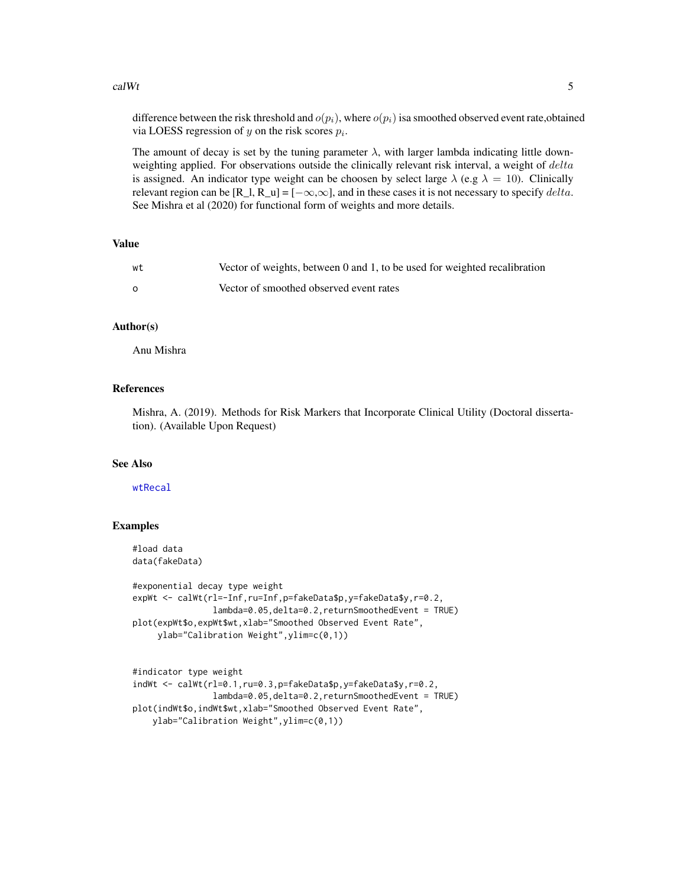#### <span id="page-4-0"></span> $\alpha$  alWt  $\alpha$  5

difference between the risk threshold and  $o(p_i)$ , where  $o(p_i)$  is a smoothed observed event rate, obtained via LOESS regression of  $y$  on the risk scores  $p_i$ .

The amount of decay is set by the tuning parameter  $\lambda$ , with larger lambda indicating little downweighting applied. For observations outside the clinically relevant risk interval, a weight of delta is assigned. An indicator type weight can be choosen by select large  $\lambda$  (e.g  $\lambda = 10$ ). Clinically relevant region can be [R\_l, R\_u] =  $[-\infty,\infty]$ , and in these cases it is not necessary to specify delta. See Mishra et al (2020) for functional form of weights and more details.

# Value

| wt | Vector of weights, between 0 and 1, to be used for weighted recalibration |
|----|---------------------------------------------------------------------------|
|    | Vector of smoothed observed event rates                                   |

# Author(s)

Anu Mishra

# References

Mishra, A. (2019). Methods for Risk Markers that Incorporate Clinical Utility (Doctoral dissertation). (Available Upon Request)

#### See Also

# [wtRecal](#page-16-1)

#### Examples

```
#load data
data(fakeData)
```

```
#exponential decay type weight
expWt <- calWt(rl=-Inf,ru=Inf,p=fakeData$p,y=fakeData$y,r=0.2,
                lambda=0.05,delta=0.2,returnSmoothedEvent = TRUE)
plot(expWt$o,expWt$wt,xlab="Smoothed Observed Event Rate",
     ylab="Calibration Weight",ylim=c(0,1))
```

```
#indicator type weight
indWt <- calWt(rl=0.1,ru=0.3,p=fakeData$p,y=fakeData$y,r=0.2,
                lambda=0.05,delta=0.2,returnSmoothedEvent = TRUE)
plot(indWt$o,indWt$wt,xlab="Smoothed Observed Event Rate",
   ylab="Calibration Weight",ylim=c(0,1))
```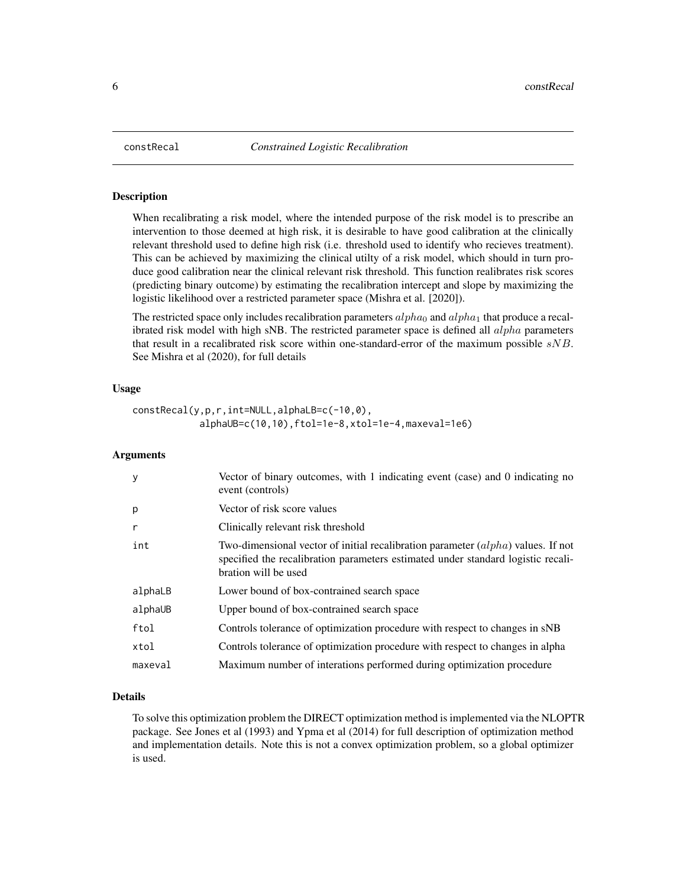<span id="page-5-0"></span>

# **Description**

When recalibrating a risk model, where the intended purpose of the risk model is to prescribe an intervention to those deemed at high risk, it is desirable to have good calibration at the clinically relevant threshold used to define high risk (i.e. threshold used to identify who recieves treatment). This can be achieved by maximizing the clinical utilty of a risk model, which should in turn produce good calibration near the clinical relevant risk threshold. This function realibrates risk scores (predicting binary outcome) by estimating the recalibration intercept and slope by maximizing the logistic likelihood over a restricted parameter space (Mishra et al. [2020]).

The restricted space only includes recalibration parameters  $alpha_0$  and  $alpha_1$  that produce a recalibrated risk model with high sNB. The restricted parameter space is defined all  $alpha$  parameters that result in a recalibrated risk score within one-standard-error of the maximum possible  $sNB$ . See Mishra et al (2020), for full details

# Usage

```
constRecal(y,p,r,int=NULL,alphaLB=c(-10,0),
            alphaUB=c(10,10),ftol=1e-8,xtol=1e-4,maxeval=1e6)
```
# Arguments

| y       | Vector of binary outcomes, with 1 indicating event (case) and 0 indicating no<br>event (controls)                                                                                            |
|---------|----------------------------------------------------------------------------------------------------------------------------------------------------------------------------------------------|
| p       | Vector of risk score values                                                                                                                                                                  |
| r       | Clinically relevant risk threshold                                                                                                                                                           |
| int     | Two-dimensional vector of initial recalibration parameter (alpha) values. If not<br>specified the recalibration parameters estimated under standard logistic recali-<br>bration will be used |
| alphaLB | Lower bound of box-contrained search space                                                                                                                                                   |
| alphaUB | Upper bound of box-contrained search space                                                                                                                                                   |
| ftol    | Controls tolerance of optimization procedure with respect to changes in sNB                                                                                                                  |
| xtol    | Controls tolerance of optimization procedure with respect to changes in alpha                                                                                                                |
| maxeval | Maximum number of interations performed during optimization procedure                                                                                                                        |

# Details

To solve this optimization problem the DIRECT optimization method is implemented via the NLOPTR package. See Jones et al (1993) and Ypma et al (2014) for full description of optimization method and implementation details. Note this is not a convex optimization problem, so a global optimizer is used.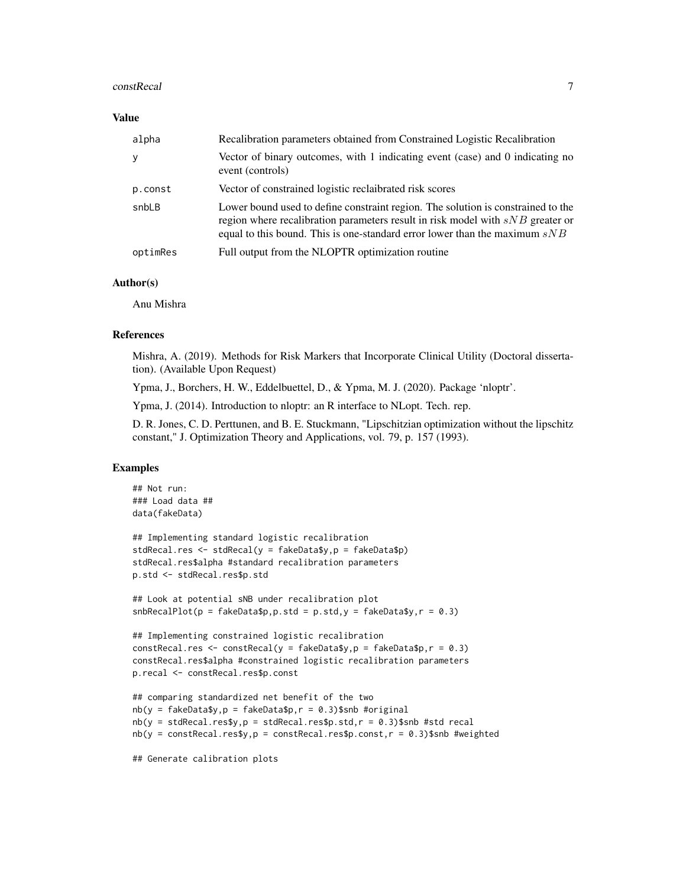#### constRecal 7

# Value

| alpha    | Recalibration parameters obtained from Constrained Logistic Recalibration                                                                                                                                                                            |
|----------|------------------------------------------------------------------------------------------------------------------------------------------------------------------------------------------------------------------------------------------------------|
| y        | Vector of binary outcomes, with 1 indicating event (case) and 0 indicating no<br>event (controls)                                                                                                                                                    |
| p.const  | Vector of constrained logistic reclaibrated risk scores                                                                                                                                                                                              |
| snbLB    | Lower bound used to define constraint region. The solution is constrained to the<br>region where recalibration parameters result in risk model with $sNB$ greater or<br>equal to this bound. This is one-standard error lower than the maximum $sNB$ |
| optimRes | Full output from the NLOPTR optimization routine                                                                                                                                                                                                     |

# Author(s)

Anu Mishra

# References

Mishra, A. (2019). Methods for Risk Markers that Incorporate Clinical Utility (Doctoral dissertation). (Available Upon Request)

Ypma, J., Borchers, H. W., Eddelbuettel, D., & Ypma, M. J. (2020). Package 'nloptr'.

Ypma, J. (2014). Introduction to nloptr: an R interface to NLopt. Tech. rep.

D. R. Jones, C. D. Perttunen, and B. E. Stuckmann, "Lipschitzian optimization without the lipschitz constant," J. Optimization Theory and Applications, vol. 79, p. 157 (1993).

# Examples

```
## Not run:
### Load data ##
data(fakeData)
## Implementing standard logistic recalibration
stdRecal.res <- stdRecal(y = fakeData$y,p = fakeData$p)
stdRecal.res$alpha #standard recalibration parameters
```
p.std <- stdRecal.res\$p.std

## Look at potential sNB under recalibration plot

```
shBecalPlot(p = fakeData\ p. std = p. std, y = fakeData\ y, r = 0.3)
```

```
## Implementing constrained logistic recalibration
constRecal.res <- constRecal(y = fakeData\ y, p = fakeData\g, r = 0.3)
constRecal.res$alpha #constrained logistic recalibration parameters
p.recal <- constRecal.res$p.const
```

```
## comparing standardized net benefit of the two
nb(y = fakeData\{y}, p = fakeData\{p}, r = 0.3)$snb #original
nb(y = stdRecal.res$y, p = stdRecal.res$p.std, r = 0.3)$snb #std recal
nb(y = constRecal.resy, p = constRecal.resp.const, r = 0.3)$snb #weighted
```

```
## Generate calibration plots
```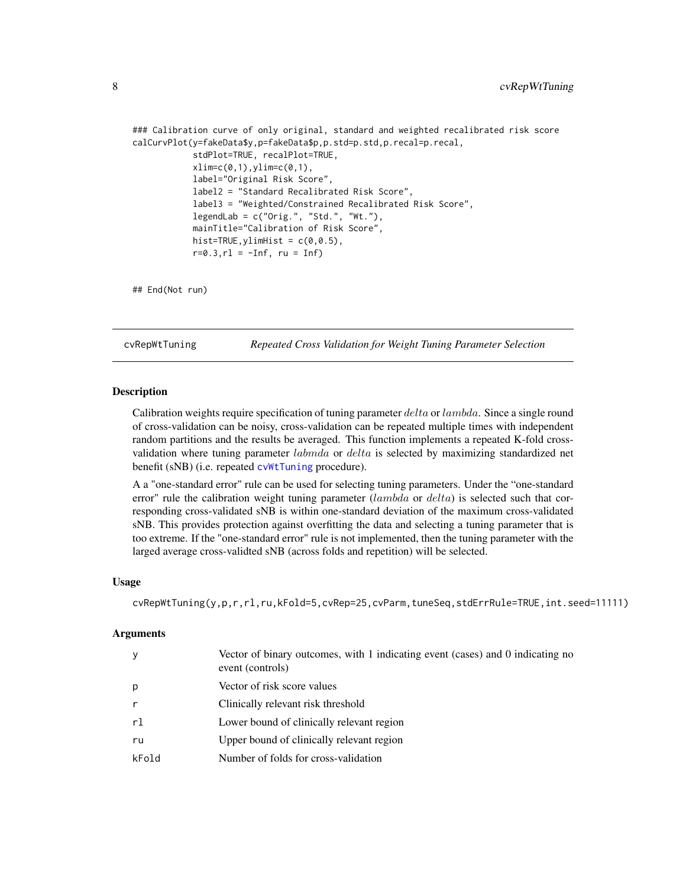```
### Calibration curve of only original, standard and weighted recalibrated risk score
calCurvPlot(y=fakeData$y,p=fakeData$p,p.std=p.std,p.recal=p.recal,
            stdPlot=TRUE, recalPlot=TRUE,
            xlim=c(0,1),ylim=c(0,1),label="Original Risk Score",
            label2 = "Standard Recalibrated Risk Score",
            label3 = "Weighted/Constrained Recalibrated Risk Score",
            legendLab = c("Orig.", "Std.", "Wt."),
            mainTitle="Calibration of Risk Score",
            hist=True, ylimHist = c(0, 0.5),
            r=0.3, r1 = -Inf, ru = Inf)
```

```
## End(Not run)
```
<span id="page-7-1"></span>cvRepWtTuning *Repeated Cross Validation for Weight Tuning Parameter Selection*

# Description

Calibration weights require specification of tuning parameter delta or lambda. Since a single round of cross-validation can be noisy, cross-validation can be repeated multiple times with independent random partitions and the results be averaged. This function implements a repeated K-fold crossvalidation where tuning parameter *labmda* or *delta* is selected by maximizing standardized net benefit (sNB) (i.e. repeated [cvWtTuning](#page-9-1) procedure).

A a "one-standard error" rule can be used for selecting tuning parameters. Under the "one-standard error" rule the calibration weight tuning parameter  $(lambda \text{ or } delta)$  is selected such that corresponding cross-validated sNB is within one-standard deviation of the maximum cross-validated sNB. This provides protection against overfitting the data and selecting a tuning parameter that is too extreme. If the "one-standard error" rule is not implemented, then the tuning parameter with the larged average cross-validted sNB (across folds and repetition) will be selected.

#### Usage

```
cvRepWtTuning(y,p,r,rl,ru,kFold=5,cvRep=25,cvParm,tuneSeq,stdErrRule=TRUE,int.seed=11111)
```
#### **Arguments**

| y     | Vector of binary outcomes, with 1 indicating event (cases) and 0 indicating no<br>event (controls) |
|-------|----------------------------------------------------------------------------------------------------|
| p     | Vector of risk score values                                                                        |
|       | Clinically relevant risk threshold                                                                 |
| rl    | Lower bound of clinically relevant region                                                          |
| ru    | Upper bound of clinically relevant region                                                          |
| kFold | Number of folds for cross-validation                                                               |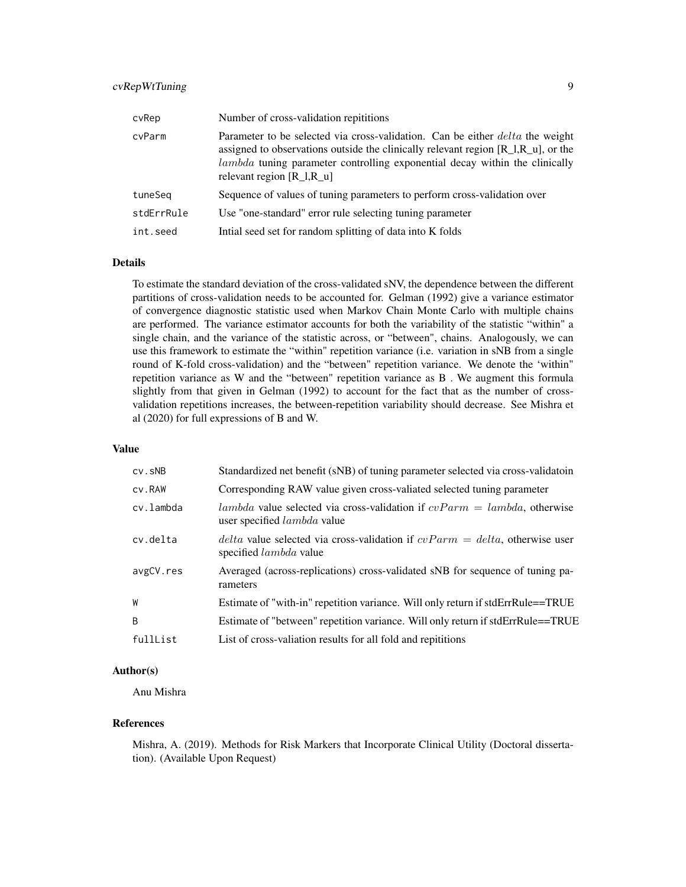# cvRepWtTuning 9

| cvRep      | Number of cross-validation repititions                                                                                                                                                                                                                                                              |
|------------|-----------------------------------------------------------------------------------------------------------------------------------------------------------------------------------------------------------------------------------------------------------------------------------------------------|
| cvParm     | Parameter to be selected via cross-validation. Can be either <i>delta</i> the weight<br>assigned to observations outside the clinically relevant region $[R_1, R_2, \ldots]$ , or the<br>lambda tuning parameter controlling exponential decay within the clinically<br>relevant region $[R_1,R_u]$ |
| tuneSeg    | Sequence of values of tuning parameters to perform cross-validation over                                                                                                                                                                                                                            |
| stdErrRule | Use "one-standard" error rule selecting tuning parameter                                                                                                                                                                                                                                            |
| int.seed   | Intial seed set for random splitting of data into K folds                                                                                                                                                                                                                                           |

#### Details

To estimate the standard deviation of the cross-validated sNV, the dependence between the different partitions of cross-validation needs to be accounted for. Gelman (1992) give a variance estimator of convergence diagnostic statistic used when Markov Chain Monte Carlo with multiple chains are performed. The variance estimator accounts for both the variability of the statistic "within" a single chain, and the variance of the statistic across, or "between", chains. Analogously, we can use this framework to estimate the "within" repetition variance (i.e. variation in sNB from a single round of K-fold cross-validation) and the "between" repetition variance. We denote the 'within" repetition variance as W and the "between" repetition variance as B . We augment this formula slightly from that given in Gelman (1992) to account for the fact that as the number of crossvalidation repetitions increases, the between-repetition variability should decrease. See Mishra et al (2020) for full expressions of B and W.

#### Value

| $cv$ . $s$ <sub>NB</sub> | Standardized net benefit (sNB) of tuning parameter selected via cross-validatoin                                         |
|--------------------------|--------------------------------------------------------------------------------------------------------------------------|
| cv.RAW                   | Corresponding RAW value given cross-valiated selected tuning parameter                                                   |
| cv.lambda                | <i>lambda</i> value selected via cross-validation if $cvParm = lambda$ , otherwise<br>user specified <i>lambda</i> value |
| cv.delta                 | <i>delta</i> value selected via cross-validation if $cvParm = delta$ , otherwise user<br>specified <i>lambda</i> value   |
| avgCV.res                | Averaged (across-replications) cross-validated sNB for sequence of tuning pa-<br>rameters                                |
| W                        | Estimate of "with-in" repetition variance. Will only return if stdErrRule==TRUE                                          |
| B                        | Estimate of "between" repetition variance. Will only return if stdErrRule==TRUE                                          |
| fullList                 | List of cross-valiation results for all fold and repititions                                                             |

# Author(s)

Anu Mishra

#### References

Mishra, A. (2019). Methods for Risk Markers that Incorporate Clinical Utility (Doctoral dissertation). (Available Upon Request)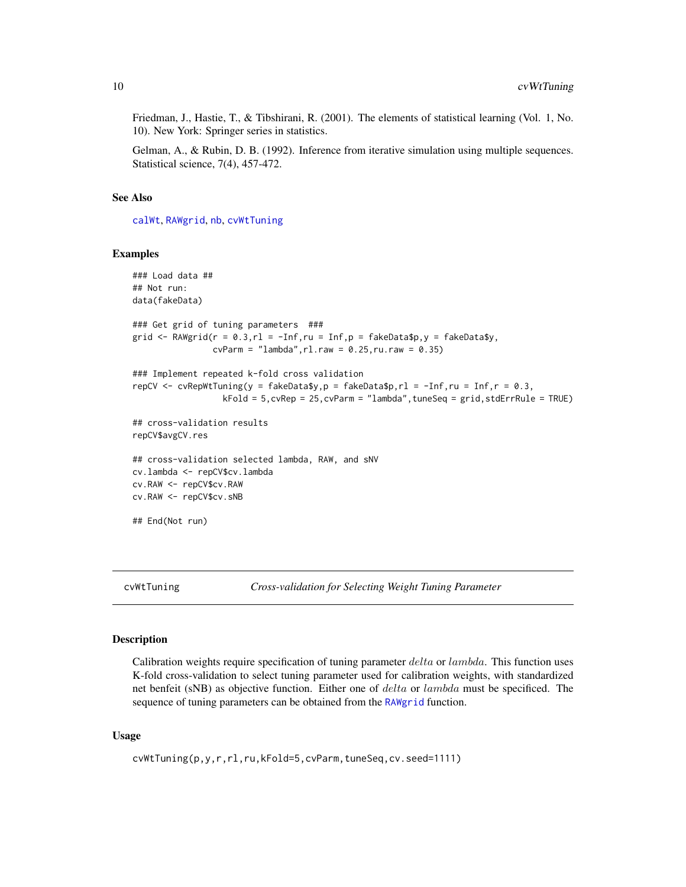<span id="page-9-0"></span>Friedman, J., Hastie, T., & Tibshirani, R. (2001). The elements of statistical learning (Vol. 1, No. 10). New York: Springer series in statistics.

Gelman, A., & Rubin, D. B. (1992). Inference from iterative simulation using multiple sequences. Statistical science, 7(4), 457-472.

#### See Also

[calWt](#page-3-1), [RAWgrid](#page-12-1), [nb](#page-11-1), [cvWtTuning](#page-9-1)

#### Examples

```
### Load data ##
## Not run:
data(fakeData)
### Get grid of tuning parameters ###
grid \leq RAWgrid(r = 0.3, rl = -Inf, ru = Inf, p = fakeData$p, y = fakeData$y,
                cvParm = "lambda", r1.raw = 0.25, ru.raw = 0.35)### Implement repeated k-fold cross validation
repCV \leq cvRepWtTuning(y = fakeData$y, p = fakeData$p, rl = -Inf, ru = Inf, r = 0.3,
                  kFold = 5,cvRep = 25,cvParm = "lambda",tuneSeq = grid,stdErrRule = TRUE)
## cross-validation results
repCV$avgCV.res
## cross-validation selected lambda, RAW, and sNV
cv.lambda <- repCV$cv.lambda
cv.RAW <- repCV$cv.RAW
cv.RAW <- repCV$cv.sNB
## End(Not run)
```
<span id="page-9-1"></span>cvWtTuning *Cross-validation for Selecting Weight Tuning Parameter*

# Description

Calibration weights require specification of tuning parameter delta or lambda. This function uses K-fold cross-validation to select tuning parameter used for calibration weights, with standardized net benfeit (sNB) as objective function. Either one of *delta* or *lambda* must be specificed. The sequence of tuning parameters can be obtained from the [RAWgrid](#page-12-1) function.

#### Usage

```
cvWtTuning(p,y,r,rl,ru,kFold=5,cvParm,tuneSeq,cv.seed=1111)
```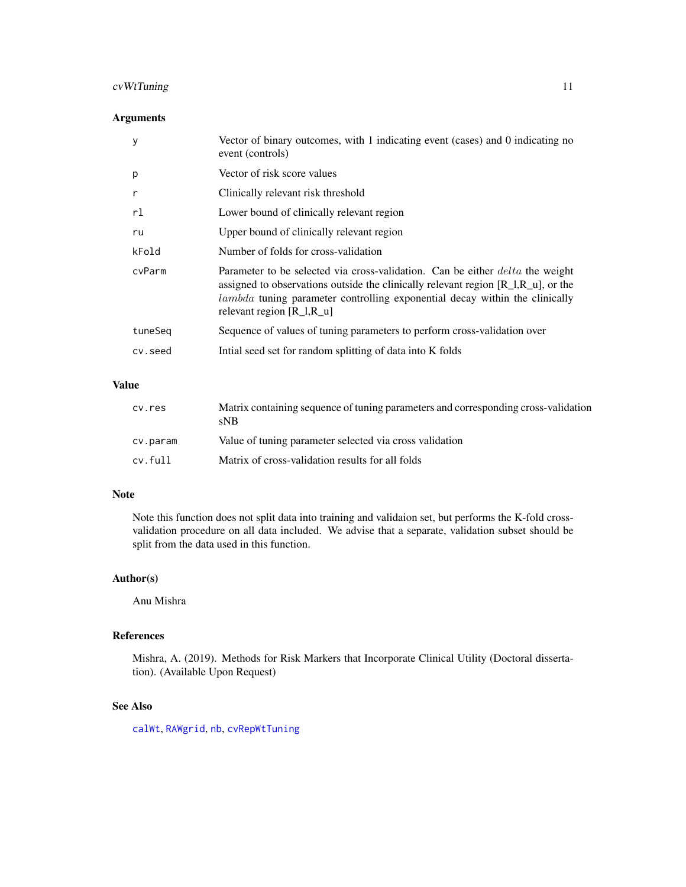# <span id="page-10-0"></span>cvWtTuning 11

# Arguments

| у       | Vector of binary outcomes, with 1 indicating event (cases) and 0 indicating no<br>event (controls)                                                                                                                                                                                                |
|---------|---------------------------------------------------------------------------------------------------------------------------------------------------------------------------------------------------------------------------------------------------------------------------------------------------|
| p       | Vector of risk score values                                                                                                                                                                                                                                                                       |
| r       | Clinically relevant risk threshold                                                                                                                                                                                                                                                                |
| rl      | Lower bound of clinically relevant region                                                                                                                                                                                                                                                         |
| ru      | Upper bound of clinically relevant region                                                                                                                                                                                                                                                         |
| kFold   | Number of folds for cross-validation                                                                                                                                                                                                                                                              |
| cvParm  | Parameter to be selected via cross-validation. Can be either <i>delta</i> the weight<br>assigned to observations outside the clinically relevant region $[R_1,R_u]$ , or the<br><i>lambda</i> tuning parameter controlling exponential decay within the clinically<br>relevant region $[R_1,R_u]$ |
| tuneSeq | Sequence of values of tuning parameters to perform cross-validation over                                                                                                                                                                                                                          |
| cv.seed | Initial seed set for random splitting of data into K folds                                                                                                                                                                                                                                        |

# Value

| cy.res   | Matrix containing sequence of tuning parameters and corresponding cross-validation<br>sNB |
|----------|-------------------------------------------------------------------------------------------|
| cv.param | Value of tuning parameter selected via cross validation                                   |
| cv.full  | Matrix of cross-validation results for all folds                                          |

# Note

Note this function does not split data into training and validaion set, but performs the K-fold crossvalidation procedure on all data included. We advise that a separate, validation subset should be split from the data used in this function.

# Author(s)

Anu Mishra

# References

Mishra, A. (2019). Methods for Risk Markers that Incorporate Clinical Utility (Doctoral dissertation). (Available Upon Request)

# See Also

[calWt](#page-3-1), [RAWgrid](#page-12-1), [nb](#page-11-1), [cvRepWtTuning](#page-7-1)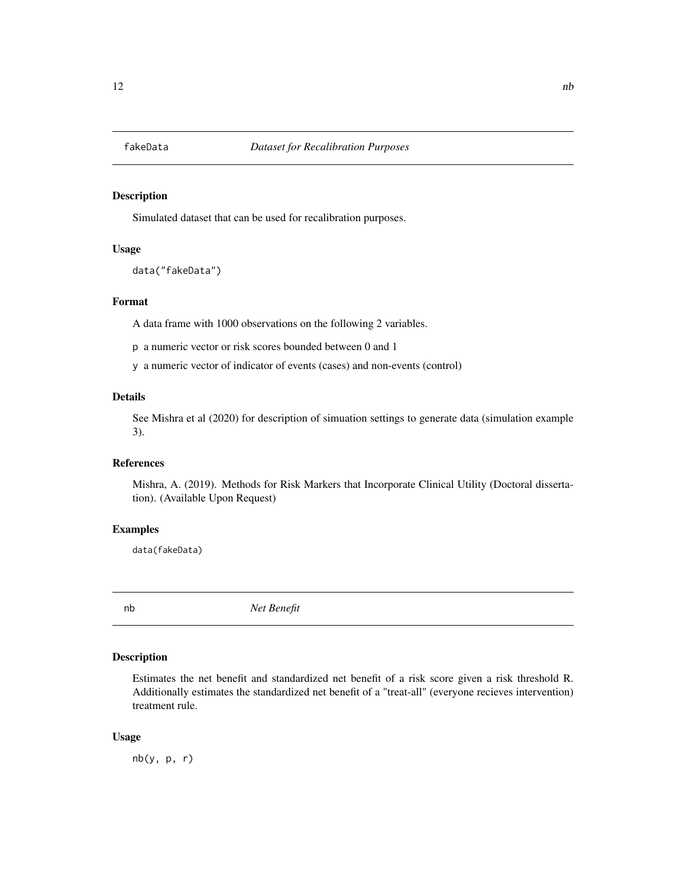<span id="page-11-0"></span>

# Description

Simulated dataset that can be used for recalibration purposes.

#### Usage

data("fakeData")

# Format

A data frame with 1000 observations on the following 2 variables.

p a numeric vector or risk scores bounded between 0 and 1

y a numeric vector of indicator of events (cases) and non-events (control)

# Details

See Mishra et al (2020) for description of simuation settings to generate data (simulation example 3).

#### References

Mishra, A. (2019). Methods for Risk Markers that Incorporate Clinical Utility (Doctoral dissertation). (Available Upon Request)

# Examples

data(fakeData)

<span id="page-11-1"></span>

nb *Net Benefit*

# Description

Estimates the net benefit and standardized net benefit of a risk score given a risk threshold R. Additionally estimates the standardized net benefit of a "treat-all" (everyone recieves intervention) treatment rule.

#### Usage

 $nb(y, p, r)$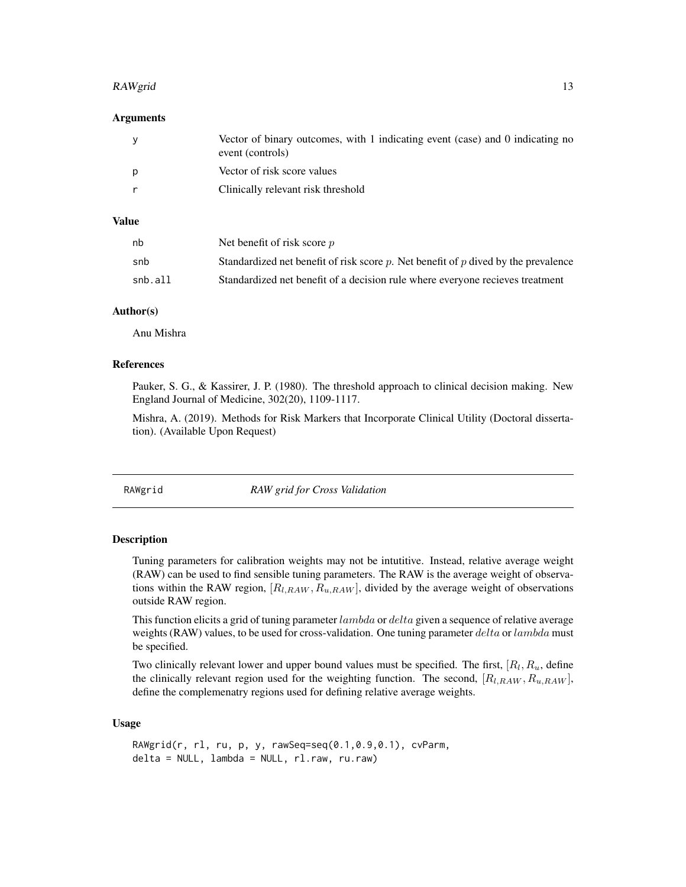#### <span id="page-12-0"></span>RAWgrid the contract of the contract of the contract of the contract of the contract of the contract of the contract of the contract of the contract of the contract of the contract of the contract of the contract of the co

# Arguments

| - V | Vector of binary outcomes, with 1 indicating event (case) and 0 indicating no<br>event (controls) |
|-----|---------------------------------------------------------------------------------------------------|
| D   | Vector of risk score values                                                                       |
|     | Clinically relevant risk threshold                                                                |

# Value

| nb      | Net benefit of risk score $p$                                                           |
|---------|-----------------------------------------------------------------------------------------|
| snb     | Standardized net benefit of risk score $p$ . Net benefit of $p$ dived by the prevalence |
| snb.all | Standardized net benefit of a decision rule where everyone recieves treatment           |

# Author(s)

Anu Mishra

# References

Pauker, S. G., & Kassirer, J. P. (1980). The threshold approach to clinical decision making. New England Journal of Medicine, 302(20), 1109-1117.

Mishra, A. (2019). Methods for Risk Markers that Incorporate Clinical Utility (Doctoral dissertation). (Available Upon Request)

<span id="page-12-1"></span>RAWgrid *RAW grid for Cross Validation*

#### Description

Tuning parameters for calibration weights may not be intutitive. Instead, relative average weight (RAW) can be used to find sensible tuning parameters. The RAW is the average weight of observations within the RAW region,  $[R_{l,RAW}, R_{u,RAW}]$ , divided by the average weight of observations outside RAW region.

This function elicits a grid of tuning parameter  $lambda$  or  $delta$  or  $delta$  a sequence of relative average weights (RAW) values, to be used for cross-validation. One tuning parameter  $delta$  or lambda must be specified.

Two clinically relevant lower and upper bound values must be specified. The first,  $[R_l, R_u,$  define the clinically relevant region used for the weighting function. The second,  $[R_{l,RAW}, R_{u,RAW}]$ , define the complemenatry regions used for defining relative average weights.

# Usage

```
RAWgrid(r, rl, ru, p, y, rawSeq=seq(0.1,0.9,0.1), cvParm,
delta = NULL, lambda = NULL, rl.raw, ru.raw)
```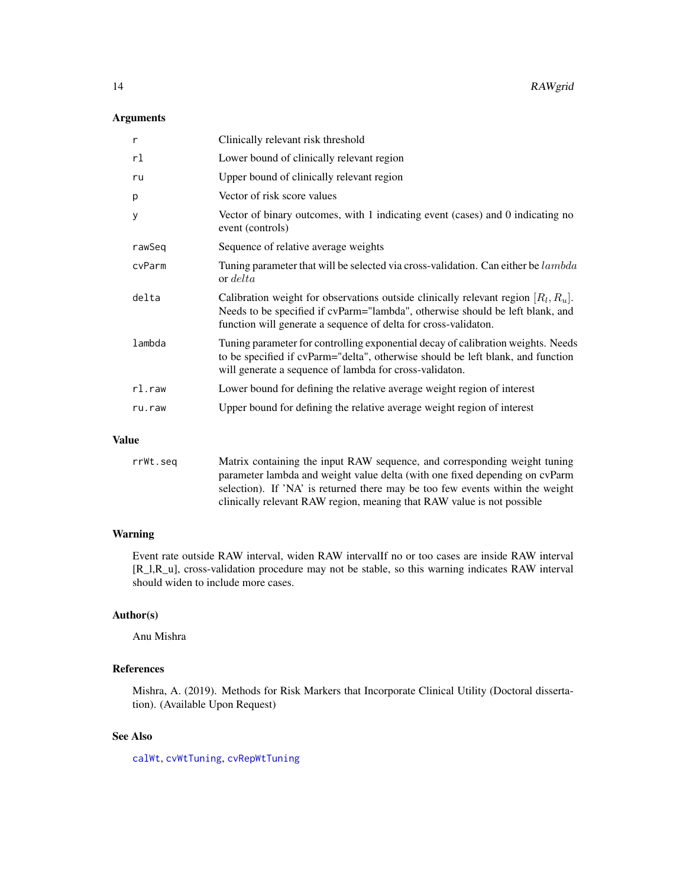# <span id="page-13-0"></span>Arguments

| $\mathsf{r}$ | Clinically relevant risk threshold                                                                                                                                                                                                        |
|--------------|-------------------------------------------------------------------------------------------------------------------------------------------------------------------------------------------------------------------------------------------|
| rl           | Lower bound of clinically relevant region                                                                                                                                                                                                 |
| ru           | Upper bound of clinically relevant region                                                                                                                                                                                                 |
| p            | Vector of risk score values                                                                                                                                                                                                               |
| У            | Vector of binary outcomes, with 1 indicating event (cases) and 0 indicating no<br>event (controls)                                                                                                                                        |
| rawSeq       | Sequence of relative average weights                                                                                                                                                                                                      |
| cvParm       | Tuning parameter that will be selected via cross-validation. Can either be lambda<br>or <i>delta</i>                                                                                                                                      |
| delta        | Calibration weight for observations outside clinically relevant region $[R_l, R_u]$ .<br>Needs to be specified if cvParm="lambda", otherwise should be left blank, and<br>function will generate a sequence of delta for cross-validaton. |
| lambda       | Tuning parameter for controlling exponential decay of calibration weights. Needs<br>to be specified if cvParm="delta", otherwise should be left blank, and function<br>will generate a sequence of lambda for cross-validaton.            |
| $r$ l.raw    | Lower bound for defining the relative average weight region of interest                                                                                                                                                                   |
| ru.raw       | Upper bound for defining the relative average weight region of interest                                                                                                                                                                   |
|              |                                                                                                                                                                                                                                           |

#### Value

rrWt.seq Matrix containing the input RAW sequence, and corresponding weight tuning parameter lambda and weight value delta (with one fixed depending on cvParm selection). If 'NA' is returned there may be too few events within the weight clinically relevant RAW region, meaning that RAW value is not possible

# Warning

Event rate outside RAW interval, widen RAW intervalIf no or too cases are inside RAW interval [R\_l,R\_u], cross-validation procedure may not be stable, so this warning indicates RAW interval should widen to include more cases.

# Author(s)

Anu Mishra

# References

Mishra, A. (2019). Methods for Risk Markers that Incorporate Clinical Utility (Doctoral dissertation). (Available Upon Request)

# See Also

[calWt](#page-3-1), [cvWtTuning](#page-9-1), [cvRepWtTuning](#page-7-1)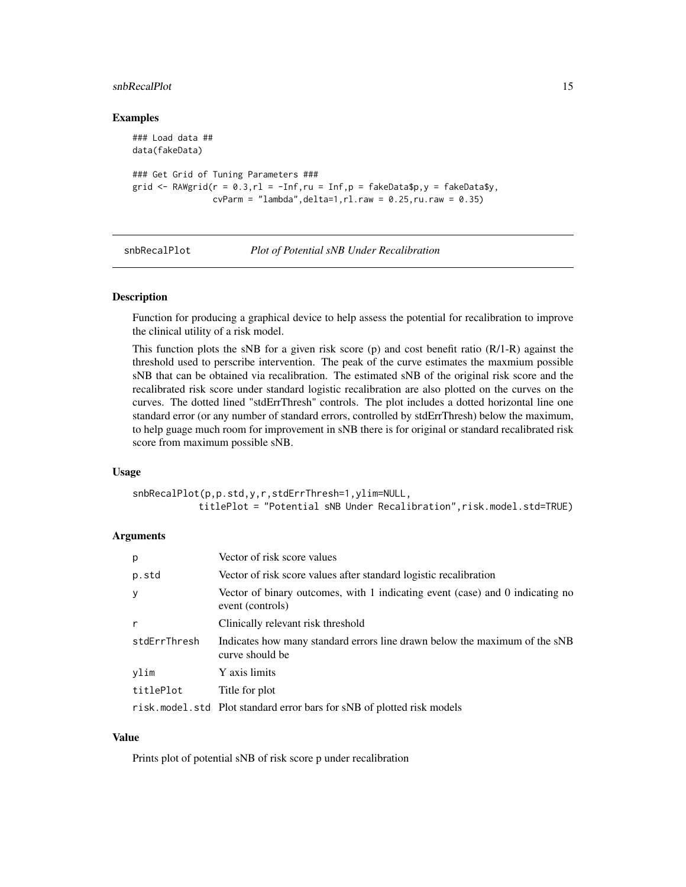#### <span id="page-14-0"></span>snbRecalPlot 15

#### Examples

```
### Load data ##
data(fakeData)
### Get Grid of Tuning Parameters ###
grid \leq RAWgrid(r = 0.3, rl = -Inf, ru = Inf, p = fakeData$p, y = fakeData$y,
                cvParm = "lambda", delta=1, r1.raw = 0.25, ru.raw = 0.35)
```
#### snbRecalPlot *Plot of Potential sNB Under Recalibration*

#### Description

Function for producing a graphical device to help assess the potential for recalibration to improve the clinical utility of a risk model.

This function plots the sNB for a given risk score (p) and cost benefit ratio (R/1-R) against the threshold used to perscribe intervention. The peak of the curve estimates the maxmium possible sNB that can be obtained via recalibration. The estimated sNB of the original risk score and the recalibrated risk score under standard logistic recalibration are also plotted on the curves on the curves. The dotted lined "stdErrThresh" controls. The plot includes a dotted horizontal line one standard error (or any number of standard errors, controlled by stdErrThresh) below the maximum, to help guage much room for improvement in sNB there is for original or standard recalibrated risk score from maximum possible sNB.

#### Usage

```
snbRecalPlot(p,p.std,y,r,stdErrThresh=1,ylim=NULL,
           titlePlot = "Potential sNB Under Recalibration",risk.model.std=TRUE)
```
# Arguments

| p            | Vector of risk score values                                                                       |
|--------------|---------------------------------------------------------------------------------------------------|
| p.std        | Vector of risk score values after standard logistic recalibration                                 |
| y            | Vector of binary outcomes, with 1 indicating event (case) and 0 indicating no<br>event (controls) |
| r            | Clinically relevant risk threshold                                                                |
| stdErrThresh | Indicates how many standard errors line drawn below the maximum of the sNB<br>curve should be     |
| ylim         | Y axis limits                                                                                     |
| titlePlot    | Title for plot                                                                                    |
|              | risk.model.std Plot standard error bars for sNB of plotted risk models                            |

# Value

Prints plot of potential sNB of risk score p under recalibration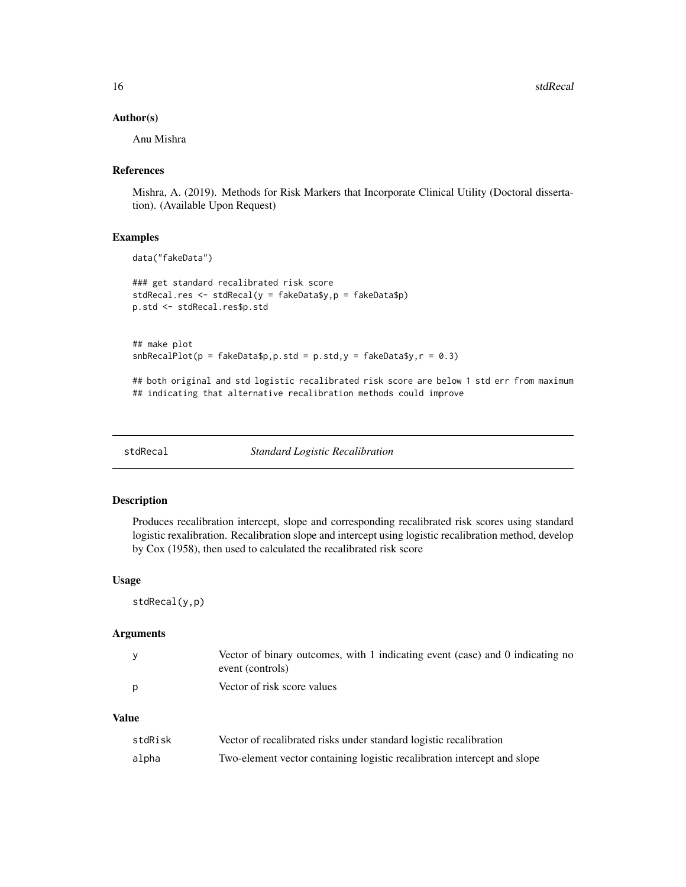16 stdRecal statistics in the statistic statistic statistic statistic statistic statistic statistic statistic statistic statistic statistic statistic statistic statistic statistic statistic statistic statistic statistic st

#### Author(s)

Anu Mishra

# References

Mishra, A. (2019). Methods for Risk Markers that Incorporate Clinical Utility (Doctoral dissertation). (Available Upon Request)

#### Examples

```
data("fakeData")
```

```
### get standard recalibrated risk score
stdRecal.res <- stdRecal(y = fakeData$y,p = fakeData$p)
p.std <- stdRecal.res$p.std
```

```
## make plot
shBecalPlot(p = fakeData\ p. std = p. std, y = fakeData\ y, r = 0.3)
```
## both original and std logistic recalibrated risk score are below 1 std err from maximum ## indicating that alternative recalibration methods could improve

stdRecal *Standard Logistic Recalibration*

# Description

Produces recalibration intercept, slope and corresponding recalibrated risk scores using standard logistic rexalibration. Recalibration slope and intercept using logistic recalibration method, develop by Cox (1958), then used to calculated the recalibrated risk score

# Usage

stdRecal(y,p)

#### Arguments

| Vector of binary outcomes, with 1 indicating event (case) and 0 indicating no |
|-------------------------------------------------------------------------------|
| event (controls)                                                              |
| Vector of risk score values                                                   |

#### Value

| stdRisk | Vector of recalibrated risks under standard logistic recalibration       |
|---------|--------------------------------------------------------------------------|
| alpha   | Two-element vector containing logistic recalibration intercept and slope |

<span id="page-15-0"></span>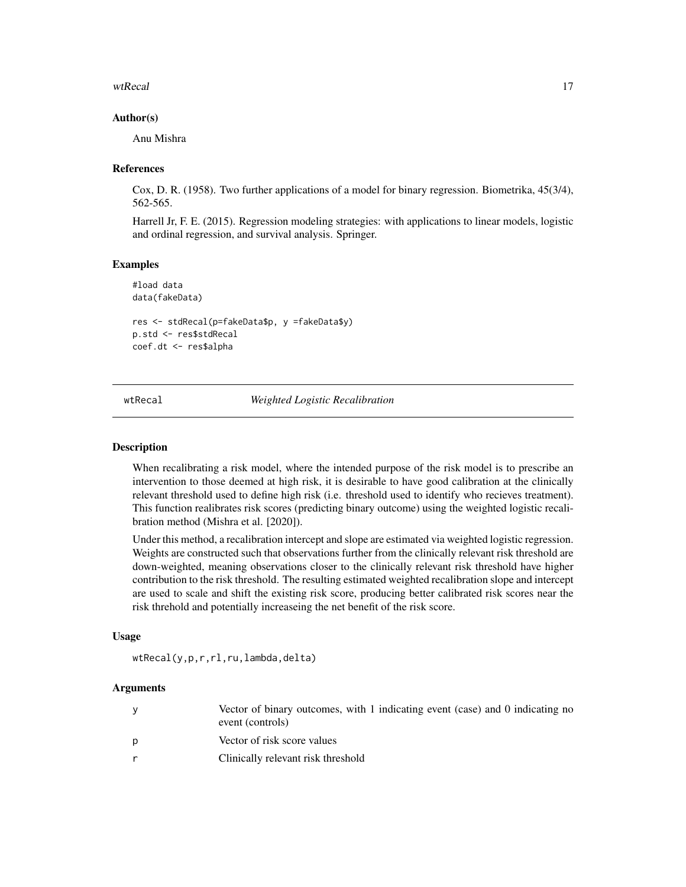### <span id="page-16-0"></span>wtRecal 17

# Author(s)

Anu Mishra

# References

Cox, D. R. (1958). Two further applications of a model for binary regression. Biometrika, 45(3/4), 562-565.

Harrell Jr, F. E. (2015). Regression modeling strategies: with applications to linear models, logistic and ordinal regression, and survival analysis. Springer.

# Examples

#load data data(fakeData)

```
res <- stdRecal(p=fakeData$p, y =fakeData$y)
p.std <- res$stdRecal
coef.dt <- res$alpha
```
<span id="page-16-1"></span>wtRecal *Weighted Logistic Recalibration*

# Description

When recalibrating a risk model, where the intended purpose of the risk model is to prescribe an intervention to those deemed at high risk, it is desirable to have good calibration at the clinically relevant threshold used to define high risk (i.e. threshold used to identify who recieves treatment). This function realibrates risk scores (predicting binary outcome) using the weighted logistic recalibration method (Mishra et al. [2020]).

Under this method, a recalibration intercept and slope are estimated via weighted logistic regression. Weights are constructed such that observations further from the clinically relevant risk threshold are down-weighted, meaning observations closer to the clinically relevant risk threshold have higher contribution to the risk threshold. The resulting estimated weighted recalibration slope and intercept are used to scale and shift the existing risk score, producing better calibrated risk scores near the risk threhold and potentially increaseing the net benefit of the risk score.

#### Usage

wtRecal(y,p,r,rl,ru,lambda,delta)

#### Arguments

|   | Vector of binary outcomes, with 1 indicating event (case) and 0 indicating no<br>event (controls) |
|---|---------------------------------------------------------------------------------------------------|
| p | Vector of risk score values                                                                       |
| r | Clinically relevant risk threshold                                                                |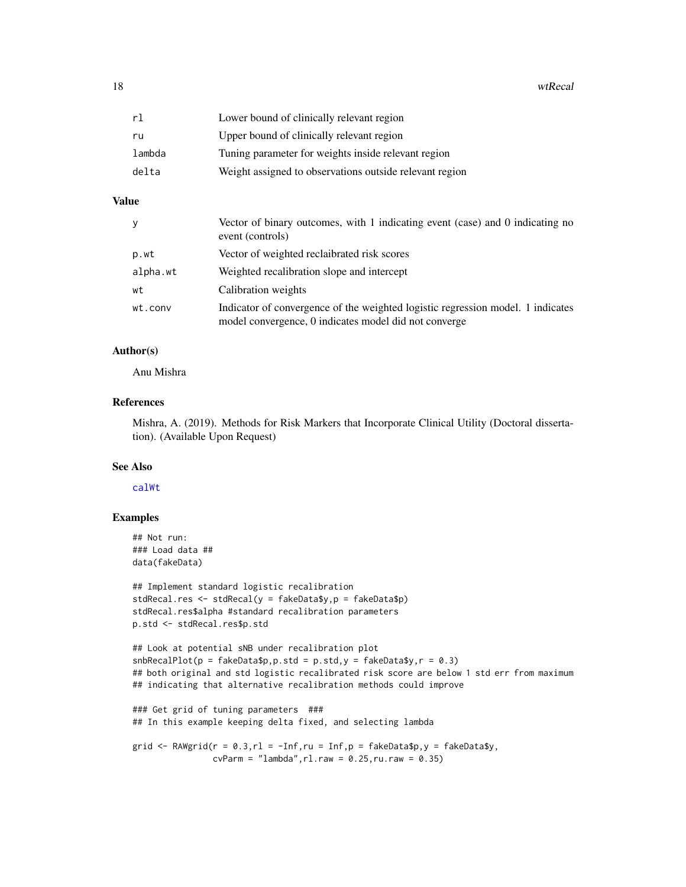<span id="page-17-0"></span>

| rl     | Lower bound of clinically relevant region               |
|--------|---------------------------------------------------------|
| ru     | Upper bound of clinically relevant region               |
| lambda | Tuning parameter for weights inside relevant region     |
| delta  | Weight assigned to observations outside relevant region |

# Value

| y        | Vector of binary outcomes, with 1 indicating event (case) and 0 indicating no<br>event (controls)                                        |
|----------|------------------------------------------------------------------------------------------------------------------------------------------|
| p.wt     | Vector of weighted reclaibrated risk scores                                                                                              |
| alpha.wt | Weighted recalibration slope and intercept                                                                                               |
| wt       | Calibration weights                                                                                                                      |
| wt.conv  | Indicator of convergence of the weighted logistic regression model. 1 indicates<br>model convergence, 0 indicates model did not converge |

# Author(s)

Anu Mishra

# References

Mishra, A. (2019). Methods for Risk Markers that Incorporate Clinical Utility (Doctoral dissertation). (Available Upon Request)

# See Also

[calWt](#page-3-1)

# Examples

```
## Not run:
### Load data ##
data(fakeData)
```

```
## Implement standard logistic recalibration
stdRecal.res <- stdRecal(y = fakeData$y,p = fakeData$p)
stdRecal.res$alpha #standard recalibration parameters
p.std <- stdRecal.res$p.std
```

```
## Look at potential sNB under recalibration plot
shRecallDot(p = fakeData\ p. std = p. std, y = fakeData\ y, r = 0.3)
## both original and std logistic recalibrated risk score are below 1 std err from maximum
## indicating that alternative recalibration methods could improve
```

```
### Get grid of tuning parameters ###
## In this example keeping delta fixed, and selecting lambda
```

```
grid <- RAWgrid(r = 0.3, r1 = -Inf, ru = Inf, p = fakeData\cvParm = "lambda", r1.raw = 0.25, ru.raw = 0.35)
```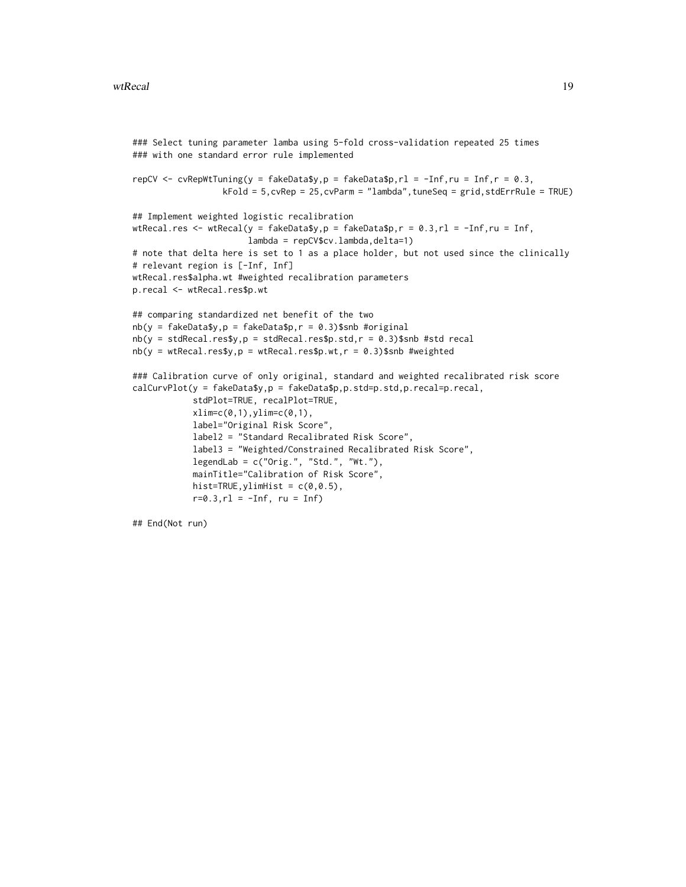```
### Select tuning parameter lamba using 5-fold cross-validation repeated 25 times
### with one standard error rule implemented
repCV \leq cvRepWtTuning(y = fakeData$y, p = fakeData$p, rl = -Inf, ru = Inf, r = 0.3,
                  kFold = 5,cvRep = 25,cvParm = "lambda",tuneSeq = grid,stdErrRule = TRUE)
## Implement weighted logistic recalibration
wtRecal.res <- wtRecal(y = fakeData$y,p = fakeData$p,r = 0.3, r1 = -Inf,ru = Inf,
                       lambda = repCV$cv.lambda,delta=1)
# note that delta here is set to 1 as a place holder, but not used since the clinically
# relevant region is [-Inf, Inf]
wtRecal.res$alpha.wt #weighted recalibration parameters
p.recal <- wtRecal.res$p.wt
## comparing standardized net benefit of the two
nb(y = fakeData\{y}, p = fakeData\{z}, r = 0.3)$snb #original
nb(y = stdRecal.res\ y, p = stdRecal.res\ p. std, r = 0.3)$snb #std recal
nb(y = wtRecal.res$y,p = wtRecal.res$p.wt,r = 0.3)$snb #weighted
### Calibration curve of only original, standard and weighted recalibrated risk score
calCurvPlot(y = fakeData$y,p = fakeData$p,p.std=p.std,p.recal=p.recal,
            stdPlot=TRUE, recalPlot=TRUE,
            xlim=c(0,1),ylim=c(0,1),label="Original Risk Score",
            label2 = "Standard Recalibrated Risk Score",
            label3 = "Weighted/Constrained Recalibrated Risk Score",
            legendLab = c("Orig.", "Std.", "Wt."),
            mainTitle="Calibration of Risk Score",
            hist=TRUE, ylimHist = c(0, 0.5),
            r=0.3, r1 = -Inf, ru = Inf)## End(Not run)
```